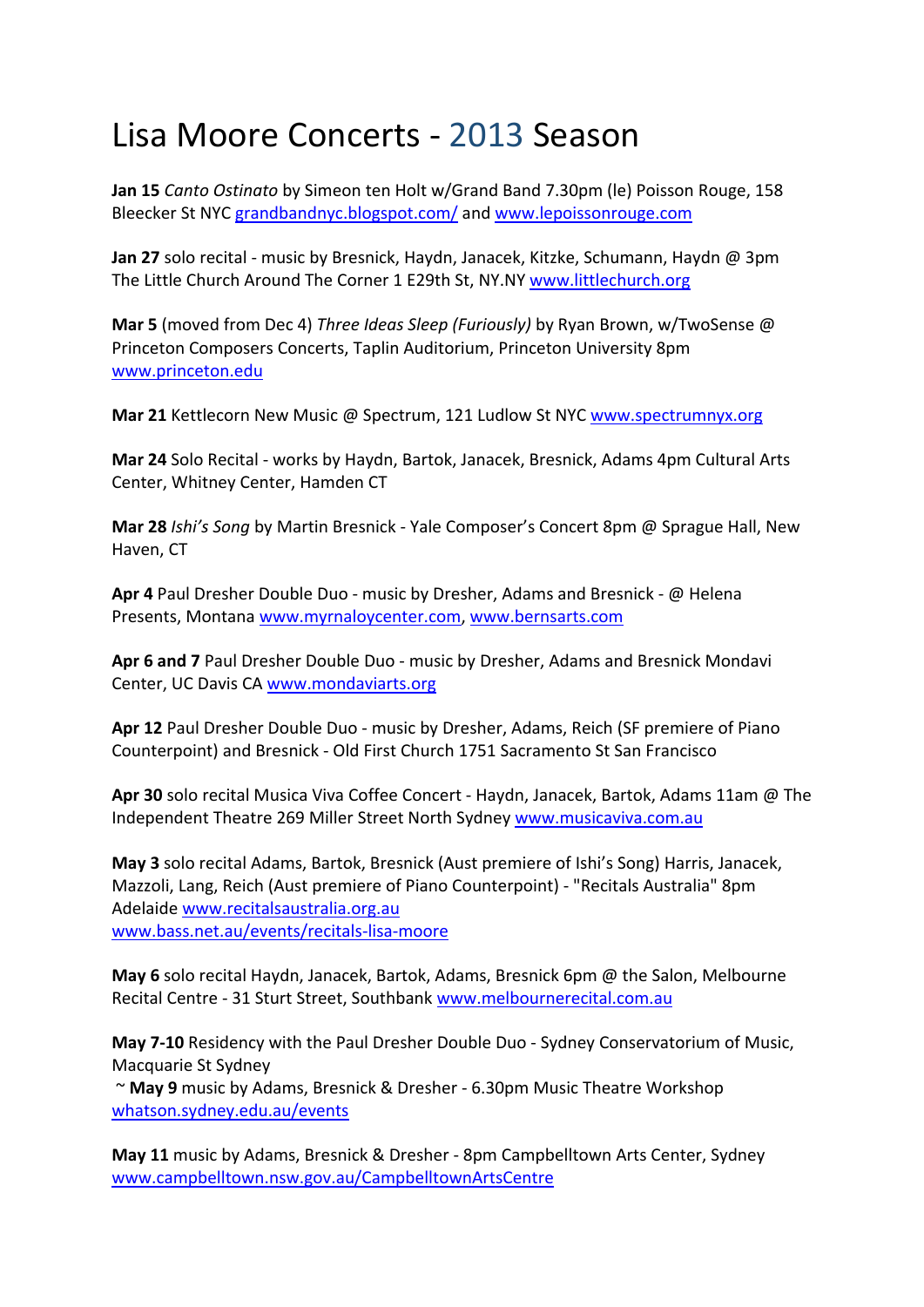## Lisa Moore Concerts ‐ 2013 Season

**Jan 15** *Canto Ostinato* by Simeon ten Holt w/Grand Band 7.30pm (le) Poisson Rouge, 158 Bleecker St NYC grandbandnyc.blogspot.com/ and www.lepoissonrouge.com

**Jan 27** solo recital ‐ music by Bresnick, Haydn, Janacek, Kitzke, Schumann, Haydn @ 3pm The Little Church Around The Corner 1 E29th St, NY.NY www.littlechurch.org

**Mar 5** (moved from Dec 4) *Three Ideas Sleep (Furiously)* by Ryan Brown, w/TwoSense @ Princeton Composers Concerts, Taplin Auditorium, Princeton University 8pm www.princeton.edu

**Mar 21** Kettlecorn New Music @ Spectrum, 121 Ludlow St NYC www.spectrumnyx.org

**Mar 24** Solo Recital ‐ works by Haydn, Bartok, Janacek, Bresnick, Adams 4pm Cultural Arts Center, Whitney Center, Hamden CT

**Mar 28** *Ishi's Song* by Martin Bresnick ‐ Yale Composer's Concert 8pm @ Sprague Hall, New Haven, CT

**Apr 4** Paul Dresher Double Duo ‐ music by Dresher, Adams and Bresnick ‐ @ Helena Presents, Montana www.myrnaloycenter.com, www.bernsarts.com

**Apr 6 and 7** Paul Dresher Double Duo ‐ music by Dresher, Adams and Bresnick Mondavi Center, UC Davis CA www.mondaviarts.org

**Apr 12** Paul Dresher Double Duo ‐ music by Dresher, Adams, Reich (SF premiere of Piano Counterpoint) and Bresnick ‐ Old First Church 1751 Sacramento St San Francisco

**Apr 30** solo recital Musica Viva Coffee Concert ‐ Haydn, Janacek, Bartok, Adams 11am @ The Independent Theatre 269 Miller Street North Sydney www.musicaviva.com.au

**May 3** solo recital Adams, Bartok, Bresnick (Aust premiere of Ishi's Song) Harris, Janacek, Mazzoli, Lang, Reich (Aust premiere of Piano Counterpoint) ‐ "Recitals Australia" 8pm Adelaide www.recitalsaustralia.org.au www.bass.net.au/events/recitals‐lisa‐moore

**May 6** solo recital Haydn, Janacek, Bartok, Adams, Bresnick 6pm @ the Salon, Melbourne Recital Centre ‐ 31 Sturt Street, Southbank www.melbournerecital.com.au

**May 7‐10** Residency with the Paul Dresher Double Duo ‐ Sydney Conservatorium of Music, Macquarie St Sydney

~ **May 9** music by Adams, Bresnick & Dresher ‐ 6.30pm Music Theatre Workshop whatson.sydney.edu.au/events

**May 11** music by Adams, Bresnick & Dresher ‐ 8pm Campbelltown Arts Center, Sydney www.campbelltown.nsw.gov.au/CampbelltownArtsCentre